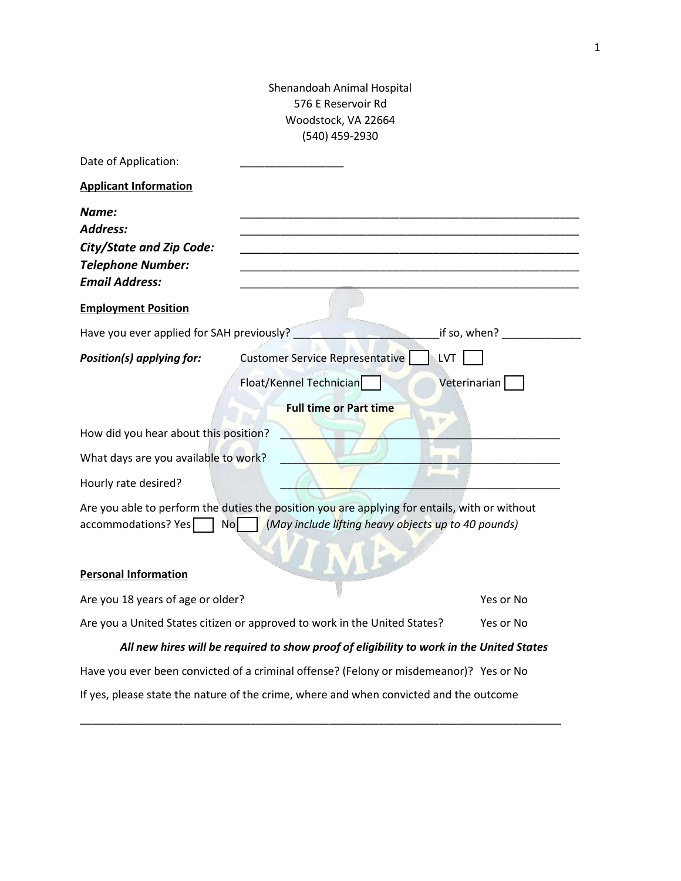## Shenandoah Animal Hospital 576 E Reservoir Rd Woodstock, VA 22664 (540) 459-2930

| Date of Application:                                                                                             |                                                                                                                                                      |              |  |
|------------------------------------------------------------------------------------------------------------------|------------------------------------------------------------------------------------------------------------------------------------------------------|--------------|--|
| <b>Applicant Information</b>                                                                                     |                                                                                                                                                      |              |  |
| Name:<br><b>Address:</b><br><b>City/State and Zip Code:</b><br><b>Telephone Number:</b><br><b>Email Address:</b> |                                                                                                                                                      |              |  |
| <b>Employment Position</b>                                                                                       |                                                                                                                                                      |              |  |
| Have you ever applied for SAH previously?                                                                        |                                                                                                                                                      | if so, when? |  |
| Position(s) applying for:                                                                                        | <b>Customer Service Representative</b><br>.LVT                                                                                                       |              |  |
|                                                                                                                  | Float/Kennel Technician                                                                                                                              | Veterinarian |  |
|                                                                                                                  | <b>Full time or Part time</b>                                                                                                                        |              |  |
| How did you hear about this position?                                                                            |                                                                                                                                                      |              |  |
| What days are you available to work?                                                                             |                                                                                                                                                      |              |  |
| Hourly rate desired?                                                                                             |                                                                                                                                                      |              |  |
| accommodations? Yes<br><b>No</b>                                                                                 | Are you able to perform the duties the position you are applying for entails, with or without<br>(May include lifting heavy objects up to 40 pounds) |              |  |
| <b>Personal Information</b>                                                                                      |                                                                                                                                                      |              |  |
| Are you 18 years of age or older?                                                                                |                                                                                                                                                      | Yes or No    |  |
| Are you a United States citizen or approved to work in the United States?                                        |                                                                                                                                                      | Yes or No    |  |
|                                                                                                                  | All new hires will be required to show proof of eligibility to work in the United States                                                             |              |  |
|                                                                                                                  | Have you ever been convicted of a criminal offense? (Felony or misdemeanor)? Yes or No                                                               |              |  |
|                                                                                                                  | If yes, please state the nature of the crime, where and when convicted and the outcome                                                               |              |  |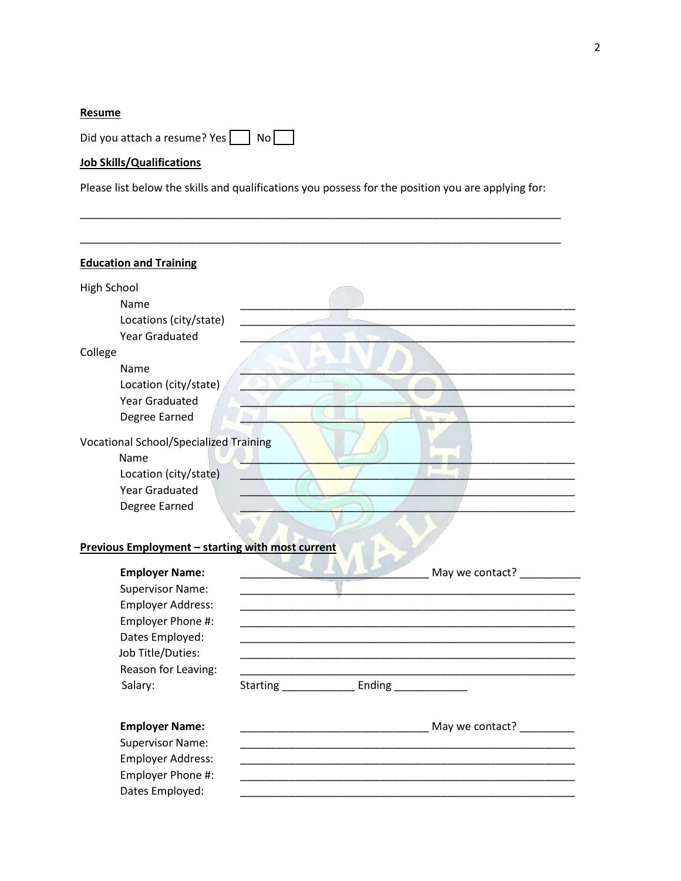## Resume

Did you attach a resume? Yes No

## Job Skills/Qualifications

Please list below the skills and qualifications you possess for the position you are applying for:

| <b>Education and Training</b>                    |                           |
|--------------------------------------------------|---------------------------|
| <b>High School</b>                               |                           |
| Name                                             |                           |
| Locations (city/state)                           |                           |
| <b>Year Graduated</b>                            |                           |
| College                                          |                           |
| Name                                             |                           |
| Location (city/state)                            |                           |
| <b>Year Graduated</b>                            |                           |
| Degree Earned                                    |                           |
| <b>Vocational School/Specialized Training</b>    |                           |
| Name<br>Location (city/state)                    |                           |
| <b>Year Graduated</b>                            |                           |
| Degree Earned                                    |                           |
|                                                  |                           |
|                                                  |                           |
|                                                  |                           |
| Previous Employment - starting with most current |                           |
|                                                  |                           |
| <b>Employer Name:</b>                            | May we contact? ________  |
| <b>Supervisor Name:</b>                          |                           |
| Employer Address:                                |                           |
| Employer Phone #:                                |                           |
| Dates Employed:<br>Job Title/Duties:             |                           |
|                                                  |                           |
| Reason for Leaving:                              |                           |
| Salary:                                          | Starting Ending Ending    |
| <b>Employer Name:</b>                            | May we contact? _________ |
| <b>Supervisor Name:</b>                          |                           |
|                                                  |                           |
| Employer Address:<br>Employer Phone #:           |                           |